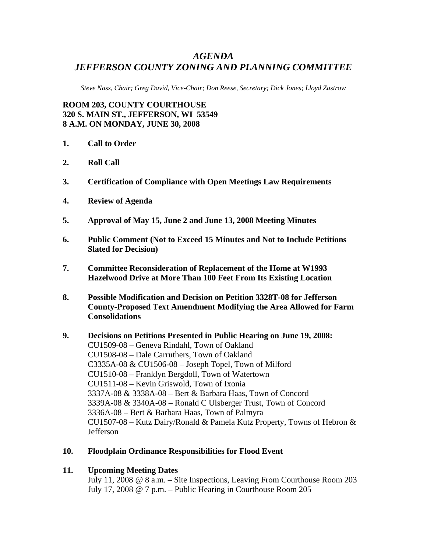## *AGENDA JEFFERSON COUNTY ZONING AND PLANNING COMMITTEE*

*Steve Nass, Chair; Greg David, Vice-Chair; Don Reese, Secretary; Dick Jones; Lloyd Zastrow* 

**ROOM 203, COUNTY COURTHOUSE 320 S. MAIN ST., JEFFERSON, WI 53549 8 A.M. ON MONDAY, JUNE 30, 2008** 

- **1. Call to Order**
- **2. Roll Call**
- **3. Certification of Compliance with Open Meetings Law Requirements**
- **4. Review of Agenda**
- **5. Approval of May 15, June 2 and June 13, 2008 Meeting Minutes**
- **6. Public Comment (Not to Exceed 15 Minutes and Not to Include Petitions Slated for Decision)**
- **7. Committee Reconsideration of Replacement of the Home at W1993 Hazelwood Drive at More Than 100 Feet From Its Existing Location**
- **8. Possible Modification and Decision on Petition 3328T-08 for Jefferson County-Proposed Text Amendment Modifying the Area Allowed for Farm Consolidations**
- **9. Decisions on Petitions Presented in Public Hearing on June 19, 2008:**  CU1509-08 – Geneva Rindahl, Town of Oakland CU1508-08 – Dale Carruthers, Town of Oakland C3335A-08 & CU1506-08 – Joseph Topel, Town of Milford CU1510-08 – Franklyn Bergdoll, Town of Watertown CU1511-08 – Kevin Griswold, Town of Ixonia 3337A-08 & 3338A-08 – Bert & Barbara Haas, Town of Concord 3339A-08 & 3340A-08 – Ronald C Ulsberger Trust, Town of Concord 3336A-08 – Bert & Barbara Haas, Town of Palmyra CU1507-08 – Kutz Dairy/Ronald & Pamela Kutz Property, Towns of Hebron & Jefferson
- **10. Floodplain Ordinance Responsibilities for Flood Event**
- **11. Upcoming Meeting Dates**

July 11, 2008 @ 8 a.m. – Site Inspections, Leaving From Courthouse Room 203 July 17, 2008 @ 7 p.m. – Public Hearing in Courthouse Room 205